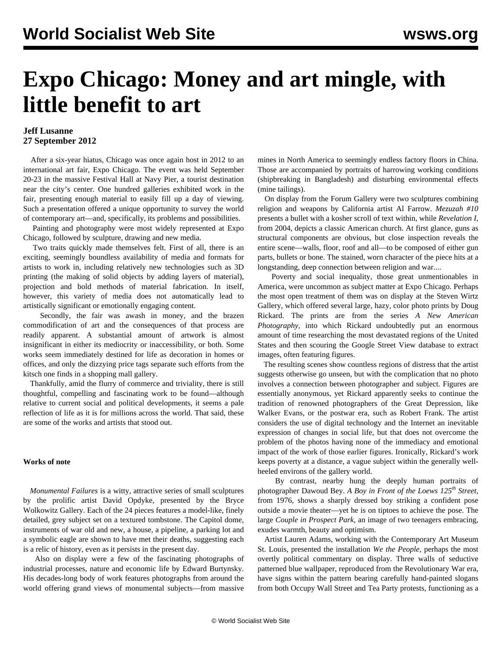## **Expo Chicago: Money and art mingle, with little benefit to art**

## **Jeff Lusanne 27 September 2012**

 After a six-year hiatus, Chicago was once again host in 2012 to an international art fair, Expo Chicago. The event was held September 20-23 in the massive Festival Hall at Navy Pier, a tourist destination near the city's center. One hundred galleries exhibited work in the fair, presenting enough material to easily fill up a day of viewing. Such a presentation offered a unique opportunity to survey the world of contemporary art—and, specifically, its problems and possibilities.

 Painting and photography were most widely represented at Expo Chicago, followed by sculpture, drawing and new media.

 Two traits quickly made themselves felt. First of all, there is an exciting, seemingly boundless availability of media and formats for artists to work in, including relatively new technologies such as 3D printing (the making of solid objects by adding layers of material), projection and bold methods of material fabrication. In itself, however, this variety of media does not automatically lead to artistically significant or emotionally engaging content.

 Secondly, the fair was awash in money, and the brazen commodification of art and the consequences of that process are readily apparent. A substantial amount of artwork is almost insignificant in either its mediocrity or inaccessibility, or both. Some works seem immediately destined for life as decoration in homes or offices, and only the dizzying price tags separate such efforts from the kitsch one finds in a shopping mall gallery.

 Thankfully, amid the flurry of commerce and triviality, there is still thoughtful, compelling and fascinating work to be found—although relative to current social and political developments, it seems a pale reflection of life as it is for millions across the world. That said, these are some of the works and artists that stood out.

## **Works of note**

 *Monumental Failures* is a witty, attractive series of small sculptures by the prolific artist David Opdyke, presented by the Bryce Wolkowitz Gallery. Each of the 24 pieces features a model-like, finely detailed, grey subject set on a textured tombstone. The Capitol dome, instruments of war old and new, a house, a pipeline, a parking lot and a symbolic eagle are shown to have met their deaths, suggesting each is a relic of history, even as it persists in the present day.

 Also on display were a few of the fascinating photographs of industrial processes, nature and economic life by Edward Burtynsky. His decades-long body of work features photographs from around the world offering grand views of monumental subjects—from massive

mines in North America to seemingly endless factory floors in China. Those are accompanied by portraits of harrowing working conditions (shipbreaking in Bangladesh) and disturbing environmental effects (mine tailings).

 On display from the Forum Gallery were two sculptures combining religion and weapons by California artist Al Farrow. *Mezuzah #10* presents a bullet with a kosher scroll of text within, while *Revelation I*, from 2004, depicts a classic American church. At first glance, guns as structural components are obvious, but close inspection reveals the entire scene—walls, floor, roof and all—to be composed of either gun parts, bullets or bone. The stained, worn character of the piece hits at a longstanding, deep connection between religion and war....

 Poverty and social inequality, those great unmentionables in America, were uncommon as subject matter at Expo Chicago. Perhaps the most open treatment of them was on display at the Steven Wirtz Gallery, which offered several large, hazy, color photo prints by Doug Rickard. The prints are from the series *A New American Photography,* into which Rickard undoubtedly put an enormous amount of time researching the most devastated regions of the United States and then scouring the Google Street View database to extract images, often featuring figures.

 The resulting scenes show countless regions of distress that the artist suggests otherwise go unseen, but with the complication that no photo involves a connection between photographer and subject. Figures are essentially anonymous, yet Rickard apparently seeks to continue the tradition of renowned photographers of the Great Depression, like Walker Evans, or the postwar era, such as Robert Frank. The artist considers the use of digital technology and the Internet an inevitable expression of changes in social life, but that does not overcome the problem of the photos having none of the immediacy and emotional impact of the work of those earlier figures. Ironically, Rickard's work keeps poverty at a distance, a vague subject within the generally wellheeled environs of the gallery world.

 By contrast, nearby hung the deeply human portraits of photographer Dawoud Bey. *A Boy in Front of the Loews 125th Street*, from 1976, shows a sharply dressed boy striking a confident pose outside a movie theater—yet he is on tiptoes to achieve the pose. The large *Couple in Prospect Park,* an image of two teenagers embracing, exudes warmth, beauty and optimism.

 Artist Lauren Adams, working with the Contemporary Art Museum St. Louis, presented the installation *We the People,* perhaps the most overtly political commentary on display. Three walls of seductive patterned blue wallpaper, reproduced from the Revolutionary War era, have signs within the pattern bearing carefully hand-painted slogans from both Occupy Wall Street and Tea Party protests, functioning as a